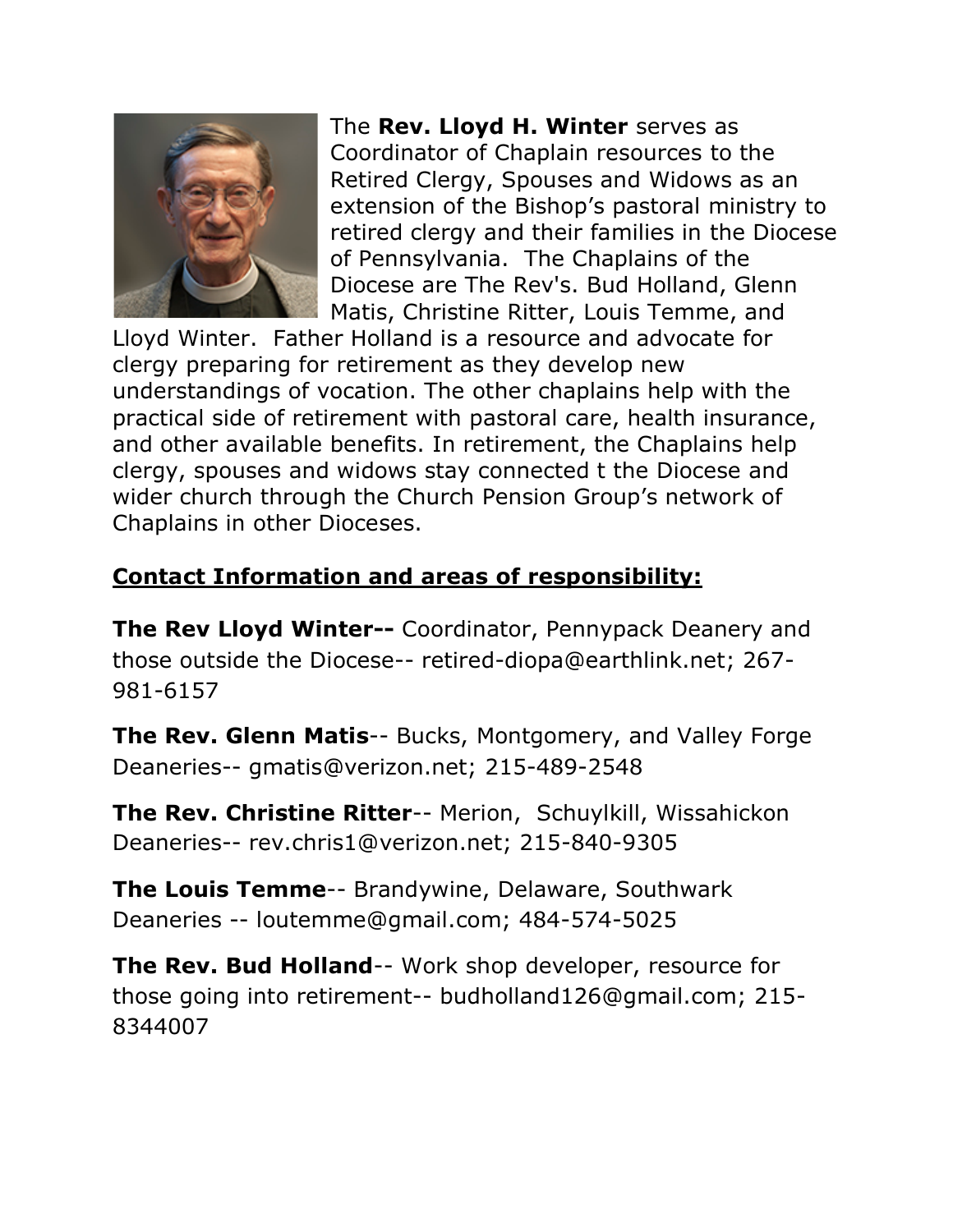

The **Rev. Lloyd H. Winter** serves as Coordinator of Chaplain resources to the Retired Clergy, Spouses and Widows as an extension of the Bishop's pastoral ministry to retired clergy and their families in the Diocese of Pennsylvania. The Chaplains of the Diocese are The Rev's. Bud Holland, Glenn Matis, Christine Ritter, Louis Temme, and

Lloyd Winter. Father Holland is a resource and advocate for clergy preparing for retirement as they develop new understandings of vocation. The other chaplains help with the practical side of retirement with pastoral care, health insurance, and other available benefits. In retirement, the Chaplains help clergy, spouses and widows stay connected t the Diocese and wider church through the Church Pension Group's network of Chaplains in other Dioceses.

## **Contact Information and areas of responsibility:**

**The Rev Lloyd Winter--** Coordinator, Pennypack Deanery and those outside the Diocese-- retired-diopa@earthlink.net; 267- 981-6157

**The Rev. Glenn Matis**-- Bucks, Montgomery, and Valley Forge Deaneries-- gmatis@verizon.net; 215-489-2548

**The Rev. Christine Ritter**-- Merion, Schuylkill, Wissahickon Deaneries-- rev.chris1@verizon.net; 215-840-9305

**The Louis Temme**-- Brandywine, Delaware, Southwark Deaneries -- loutemme@gmail.com; 484-574-5025

**The Rev. Bud Holland**-- Work shop developer, resource for those going into retirement-- budholland126@gmail.com; 215- 8344007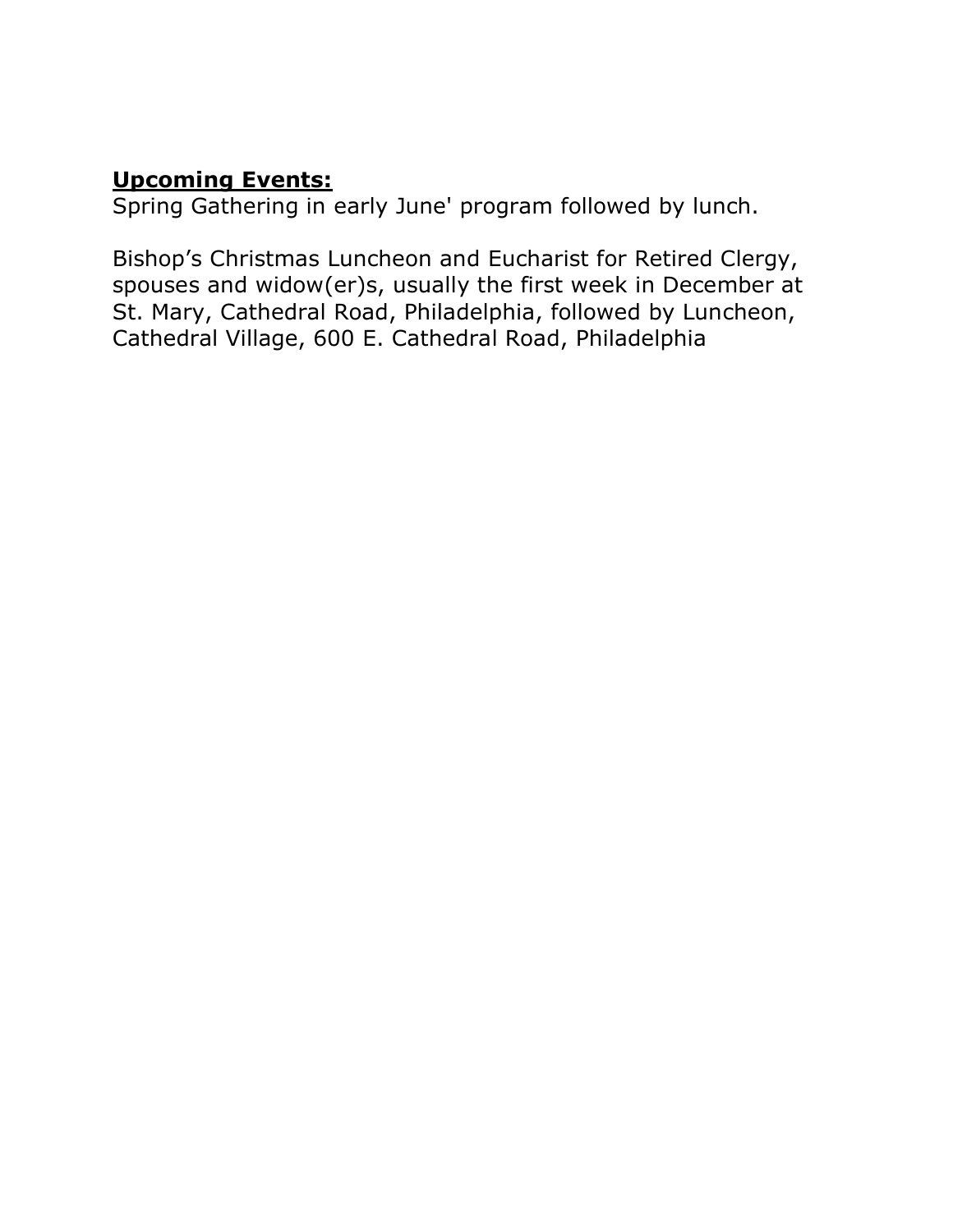### **Upcoming Events:**

Spring Gathering in early June' program followed by lunch.

Bishop's Christmas Luncheon and Eucharist for Retired Clergy, spouses and widow(er)s, usually the first week in December at St. Mary, Cathedral Road, Philadelphia, followed by Luncheon, Cathedral Village, 600 E. Cathedral Road, Philadelphia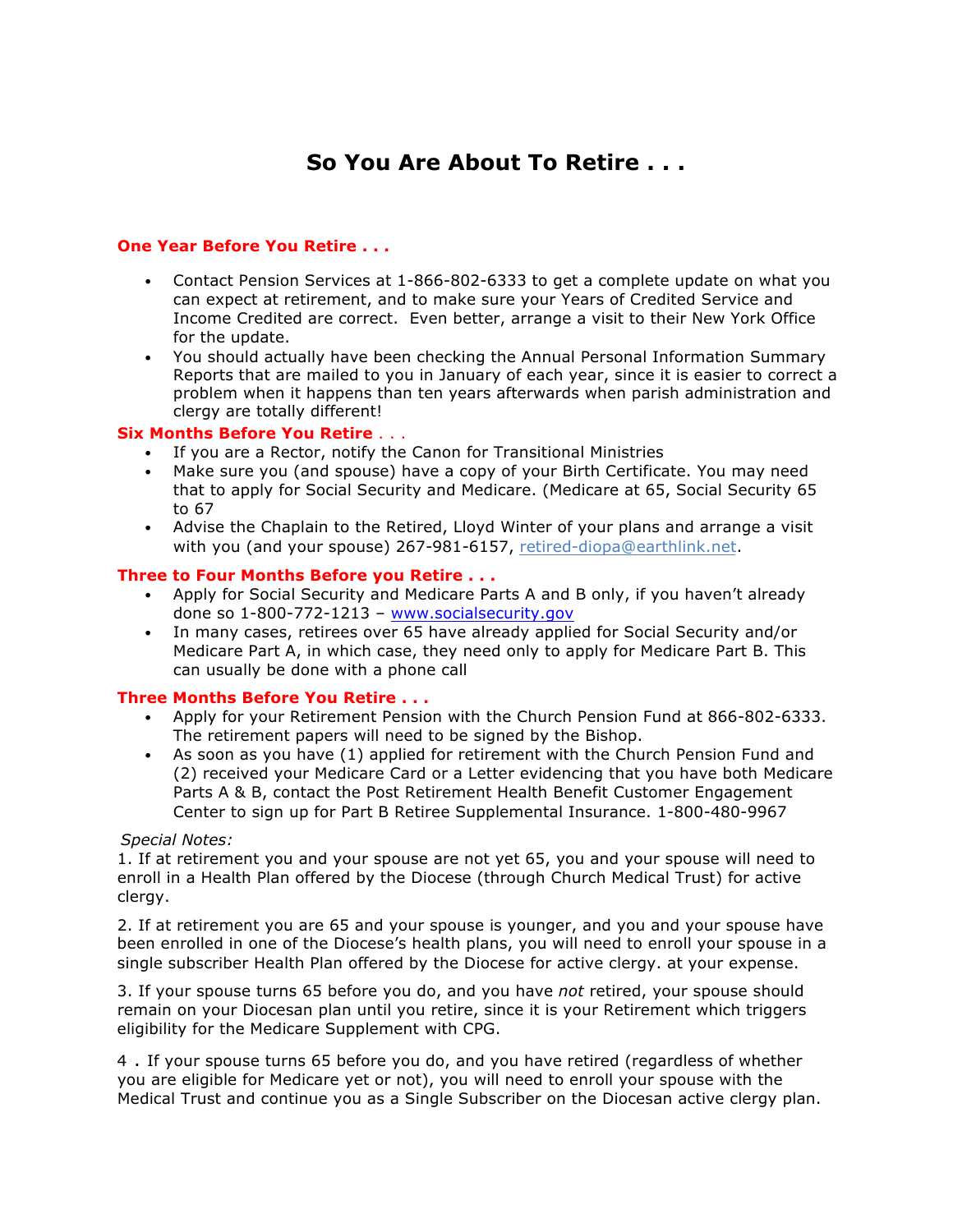## **So You Are About To Retire . . .**

#### **One Year Before You Retire . . .**

- Contact Pension Services at 1-866-802-6333 to get a complete update on what you can expect at retirement, and to make sure your Years of Credited Service and Income Credited are correct. Even better, arrange a visit to their New York Office for the update.
- You should actually have been checking the Annual Personal Information Summary Reports that are mailed to you in January of each year, since it is easier to correct a problem when it happens than ten years afterwards when parish administration and clergy are totally different!

#### **Six Months Before You Retire** . . .

- If you are a Rector, notify the Canon for Transitional Ministries
- Make sure you (and spouse) have a copy of your Birth Certificate. You may need that to apply for Social Security and Medicare. (Medicare at 65, Social Security 65 to 67
- Advise the Chaplain to the Retired, Lloyd Winter of your plans and arrange a visit with you (and your spouse) 267-981-6157, retired-diopa@earthlink.net.

#### **Three to Four Months Before you Retire . . .**

- Apply for Social Security and Medicare Parts A and B only, if you haven't already done so 1-800-772-1213 – [www.socialsecurity.gov](http://www.socialsecurity.gov)
- In many cases, retirees over 65 have already applied for Social Security and/or Medicare Part A, in which case, they need only to apply for Medicare Part B. This can usually be done with a phone call

#### **Three Months Before You Retire . . .**

- Apply for your Retirement Pension with the Church Pension Fund at 866-802-6333. The retirement papers will need to be signed by the Bishop.
- As soon as you have (1) applied for retirement with the Church Pension Fund and (2) received your Medicare Card or a Letter evidencing that you have both Medicare Parts A & B, contact the Post Retirement Health Benefit Customer Engagement Center to sign up for Part B Retiree Supplemental Insurance. 1-800-480-9967

#### *Special Notes:*

1. If at retirement you and your spouse are not yet 65, you and your spouse will need to enroll in a Health Plan offered by the Diocese (through Church Medical Trust) for active clergy.

2. If at retirement you are 65 and your spouse is younger, and you and your spouse have been enrolled in one of the Diocese's health plans, you will need to enroll your spouse in a single subscriber Health Plan offered by the Diocese for active clergy. at your expense.

3. If your spouse turns 65 before you do, and you have *not* retired, your spouse should remain on your Diocesan plan until you retire, since it is your Retirement which triggers eligibility for the Medicare Supplement with CPG.

4 . If your spouse turns 65 before you do, and you have retired (regardless of whether you are eligible for Medicare yet or not), you will need to enroll your spouse with the Medical Trust and continue you as a Single Subscriber on the Diocesan active clergy plan.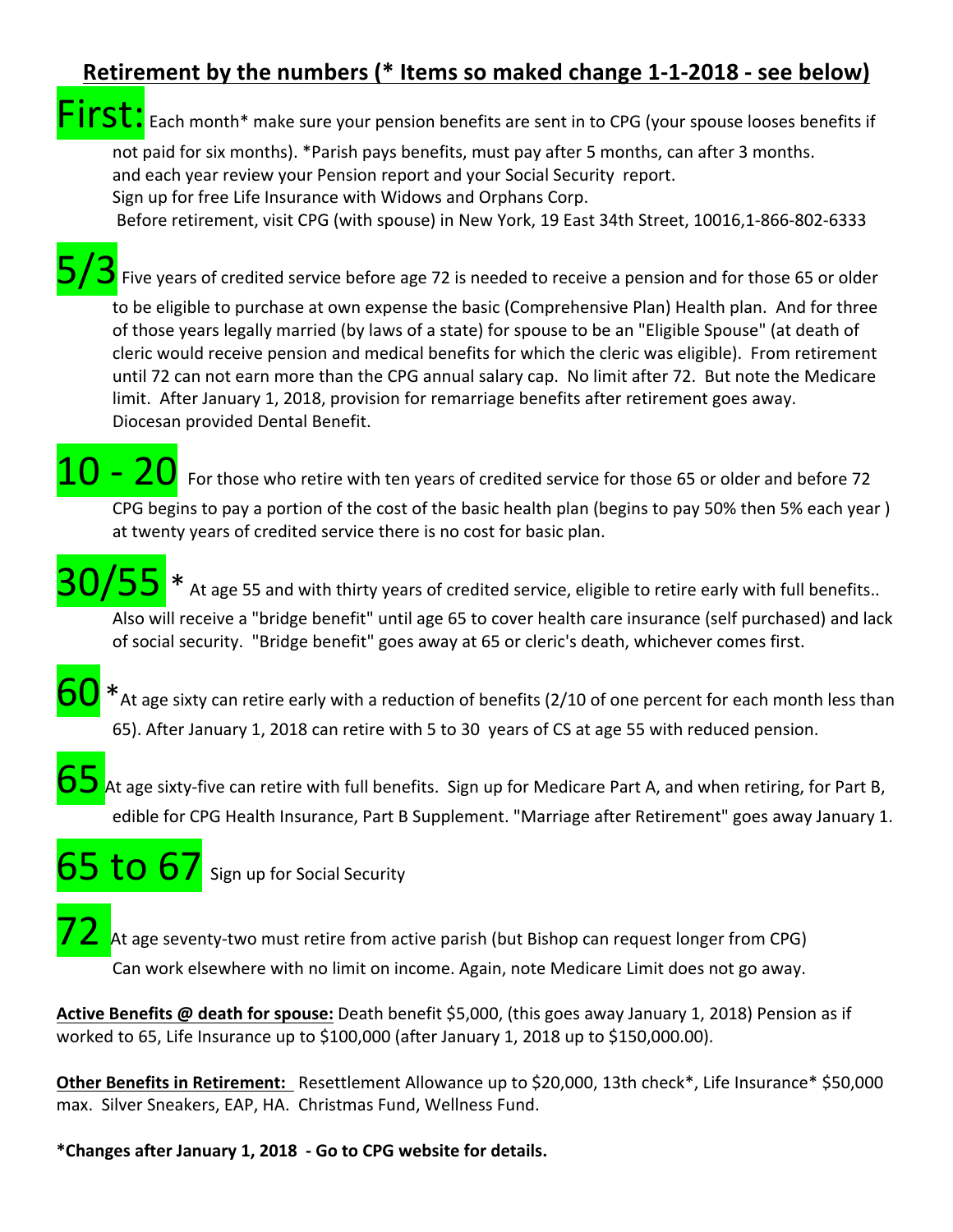## **Retirement by the numbers (\* Items so maked change 1-1-2018 - see below)**

**FST:** Each month\* make sure your pension benefits are sent in to CPG (your spouse looses benefits if

not paid for six months). \*Parish pays benefits, must pay after 5 months, can after 3 months. and each year review your Pension report and your Social Security report. Sign up for free Life Insurance with Widows and Orphans Corp.

Before retirement, visit CPG (with spouse) in New York, 19 East 34th Street, 10016,1-866-802-6333

Five years of credited service before age 72 is needed to receive a pension and for those 65 or older

to be eligible to purchase at own expense the basic (Comprehensive Plan) Health plan. And for three of those years legally married (by laws of a state) for spouse to be an "Eligible Spouse" (at death of cleric would receive pension and medical benefits for which the cleric was eligible). From retirement until 72 can not earn more than the CPG annual salary cap. No limit after 72. But note the Medicare limit. After January 1, 2018, provision for remarriage benefits after retirement goes away. Diocesan provided Dental Benefit.

 $20$  For those who retire with ten years of credited service for those 65 or older and before 72 CPG begins to pay a portion of the cost of the basic health plan (begins to pay 50% then 5% each year) at twenty years of credited service there is no cost for basic plan.

 $\sqrt{55}$  \* At age 55 and with thirty years of credited service, eligible to retire early with full benefits..

Also will receive a "bridge benefit" until age 65 to cover health care insurance (self purchased) and lack of social security. "Bridge benefit" goes away at 65 or cleric's death, whichever comes first.



At age sixty-five can retire with full benefits. Sign up for Medicare Part A, and when retiring, for Part B, edible for CPG Health Insurance, Part B Supplement. "Marriage after Retirement" goes away January 1.

# $65$  to  $67$  sign up for Social Security

At age seventy-two must retire from active parish (but Bishop can request longer from CPG) Can work elsewhere with no limit on income. Again, note Medicare Limit does not go away.

**Active Benefits @ death for spouse:** Death benefit \$5,000, (this goes away January 1, 2018) Pension as if worked to 65, Life Insurance up to  $$100,000$  (after January 1, 2018 up to  $$150,000.00$ ).

**Other Benefits in Retirement:** Resettlement Allowance up to \$20,000, 13th check\*, Life Insurance\* \$50,000 max. Silver Sneakers, EAP, HA. Christmas Fund, Wellness Fund.

**\*Changes after January 1, 2018 - Go to CPG website for details.**